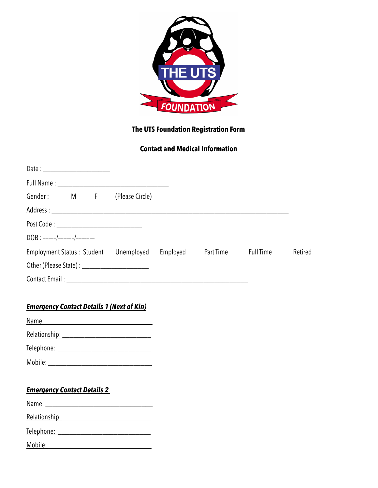

### **The UTS Foundation Registration Form**

### **Contact and Medical Information**

| Date : __________________________          |  |  |                                                |          |           |           |         |
|--------------------------------------------|--|--|------------------------------------------------|----------|-----------|-----------|---------|
|                                            |  |  |                                                |          |           |           |         |
| Gender: M F                                |  |  | (Please Circle)                                |          |           |           |         |
|                                            |  |  |                                                |          |           |           |         |
| Post Code : ______________________________ |  |  |                                                |          |           |           |         |
| $DOB$ : -----/------/-------               |  |  |                                                |          |           |           |         |
| <b>Employment Status: Student</b>          |  |  | Unemployed                                     | Employed | Part Time | Full Time | Retired |
|                                            |  |  | Other (Please State) : _______________________ |          |           |           |         |
|                                            |  |  |                                                |          |           |           |         |

#### *Emergency Contact Details 1 (Next of Kin)*

Name: \_\_\_\_\_\_\_\_\_\_\_\_\_\_\_\_\_\_\_\_\_\_\_\_\_\_\_\_\_

Relationship: \_\_\_\_\_\_\_\_\_\_\_\_\_\_\_\_\_\_\_\_\_\_\_\_

Telephone: \_\_\_\_\_\_\_\_\_\_\_\_\_\_\_\_\_\_\_\_\_\_\_\_\_

Mobile: \_\_\_\_\_\_\_\_\_\_\_\_\_\_\_\_\_\_\_\_\_\_\_\_\_\_\_\_

# *Emergency Contact Details 2*

Name: \_\_\_\_\_\_\_\_\_\_\_\_\_\_\_\_\_\_\_\_\_\_\_\_\_\_\_\_\_

Relationship: \_\_\_\_\_\_\_\_\_\_\_\_\_\_\_\_\_\_\_\_\_\_\_\_

Telephone: \_\_\_\_\_\_\_\_\_\_\_\_\_\_\_\_\_\_\_\_\_\_\_\_\_

Mobil<u>e: \_\_\_\_\_\_\_\_\_\_\_\_\_\_\_\_\_\_\_\_\_\_\_\_\_\_\_\_\_\_\_\_</u>